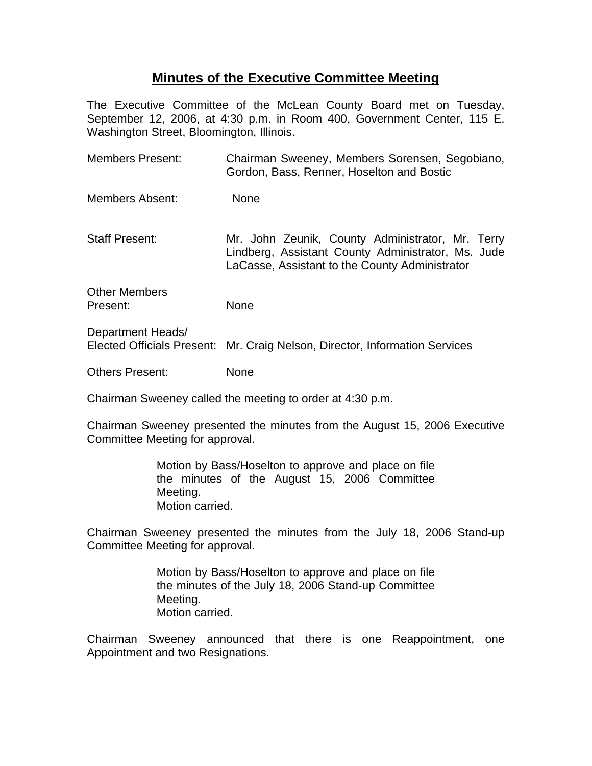## **Minutes of the Executive Committee Meeting**

The Executive Committee of the McLean County Board met on Tuesday, September 12, 2006, at 4:30 p.m. in Room 400, Government Center, 115 E. Washington Street, Bloomington, Illinois.

| <b>Members Present:</b>                         | Chairman Sweeney, Members Sorensen, Segobiano,<br>Gordon, Bass, Renner, Hoselton and Bostic                                                              |
|-------------------------------------------------|----------------------------------------------------------------------------------------------------------------------------------------------------------|
| Members Absent:                                 | <b>None</b>                                                                                                                                              |
| <b>Staff Present:</b>                           | Mr. John Zeunik, County Administrator, Mr. Terry<br>Lindberg, Assistant County Administrator, Ms. Jude<br>LaCasse, Assistant to the County Administrator |
| <b>Other Members</b><br>Present:                | None                                                                                                                                                     |
| Department Heads/<br>Elected Officials Present: | Mr. Craig Nelson, Director, Information Services                                                                                                         |

Others Present: None

Chairman Sweeney called the meeting to order at 4:30 p.m.

Chairman Sweeney presented the minutes from the August 15, 2006 Executive Committee Meeting for approval.

> Motion by Bass/Hoselton to approve and place on file the minutes of the August 15, 2006 Committee Meeting. Motion carried.

Chairman Sweeney presented the minutes from the July 18, 2006 Stand-up Committee Meeting for approval.

> Motion by Bass/Hoselton to approve and place on file the minutes of the July 18, 2006 Stand-up Committee Meeting. Motion carried.

Chairman Sweeney announced that there is one Reappointment, one Appointment and two Resignations.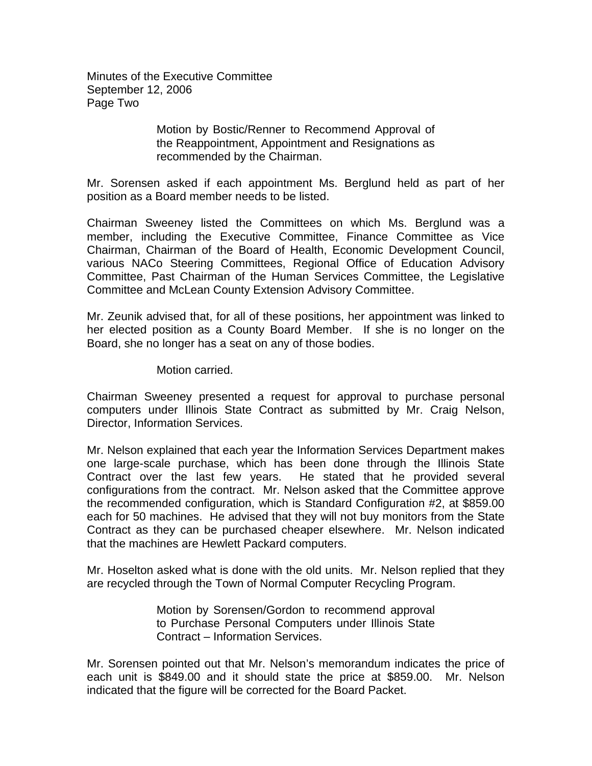Minutes of the Executive Committee September 12, 2006 Page Two

> Motion by Bostic/Renner to Recommend Approval of the Reappointment, Appointment and Resignations as recommended by the Chairman.

Mr. Sorensen asked if each appointment Ms. Berglund held as part of her position as a Board member needs to be listed.

Chairman Sweeney listed the Committees on which Ms. Berglund was a member, including the Executive Committee, Finance Committee as Vice Chairman, Chairman of the Board of Health, Economic Development Council, various NACo Steering Committees, Regional Office of Education Advisory Committee, Past Chairman of the Human Services Committee, the Legislative Committee and McLean County Extension Advisory Committee.

Mr. Zeunik advised that, for all of these positions, her appointment was linked to her elected position as a County Board Member. If she is no longer on the Board, she no longer has a seat on any of those bodies.

Motion carried.

Chairman Sweeney presented a request for approval to purchase personal computers under Illinois State Contract as submitted by Mr. Craig Nelson, Director, Information Services.

Mr. Nelson explained that each year the Information Services Department makes one large-scale purchase, which has been done through the Illinois State Contract over the last few years. He stated that he provided several configurations from the contract. Mr. Nelson asked that the Committee approve the recommended configuration, which is Standard Configuration #2, at \$859.00 each for 50 machines. He advised that they will not buy monitors from the State Contract as they can be purchased cheaper elsewhere. Mr. Nelson indicated that the machines are Hewlett Packard computers.

Mr. Hoselton asked what is done with the old units. Mr. Nelson replied that they are recycled through the Town of Normal Computer Recycling Program.

> Motion by Sorensen/Gordon to recommend approval to Purchase Personal Computers under Illinois State Contract – Information Services.

Mr. Sorensen pointed out that Mr. Nelson's memorandum indicates the price of each unit is \$849.00 and it should state the price at \$859.00. Mr. Nelson indicated that the figure will be corrected for the Board Packet.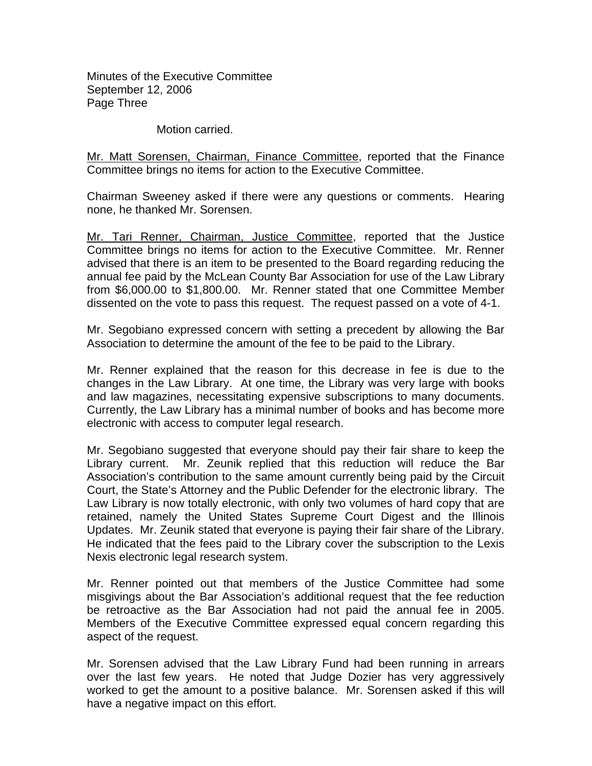Minutes of the Executive Committee September 12, 2006 Page Three

Motion carried.

Mr. Matt Sorensen, Chairman, Finance Committee, reported that the Finance Committee brings no items for action to the Executive Committee.

Chairman Sweeney asked if there were any questions or comments. Hearing none, he thanked Mr. Sorensen.

Mr. Tari Renner, Chairman, Justice Committee, reported that the Justice Committee brings no items for action to the Executive Committee. Mr. Renner advised that there is an item to be presented to the Board regarding reducing the annual fee paid by the McLean County Bar Association for use of the Law Library from \$6,000.00 to \$1,800.00. Mr. Renner stated that one Committee Member dissented on the vote to pass this request. The request passed on a vote of 4-1.

Mr. Segobiano expressed concern with setting a precedent by allowing the Bar Association to determine the amount of the fee to be paid to the Library.

Mr. Renner explained that the reason for this decrease in fee is due to the changes in the Law Library. At one time, the Library was very large with books and law magazines, necessitating expensive subscriptions to many documents. Currently, the Law Library has a minimal number of books and has become more electronic with access to computer legal research.

Mr. Segobiano suggested that everyone should pay their fair share to keep the Library current. Mr. Zeunik replied that this reduction will reduce the Bar Association's contribution to the same amount currently being paid by the Circuit Court, the State's Attorney and the Public Defender for the electronic library. The Law Library is now totally electronic, with only two volumes of hard copy that are retained, namely the United States Supreme Court Digest and the Illinois Updates. Mr. Zeunik stated that everyone is paying their fair share of the Library. He indicated that the fees paid to the Library cover the subscription to the Lexis Nexis electronic legal research system.

Mr. Renner pointed out that members of the Justice Committee had some misgivings about the Bar Association's additional request that the fee reduction be retroactive as the Bar Association had not paid the annual fee in 2005. Members of the Executive Committee expressed equal concern regarding this aspect of the request.

Mr. Sorensen advised that the Law Library Fund had been running in arrears over the last few years. He noted that Judge Dozier has very aggressively worked to get the amount to a positive balance. Mr. Sorensen asked if this will have a negative impact on this effort.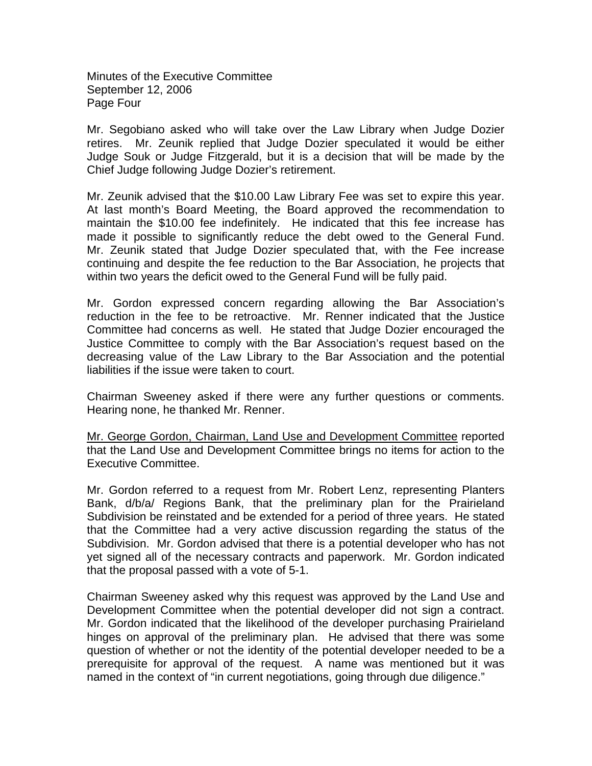Minutes of the Executive Committee September 12, 2006 Page Four

Mr. Segobiano asked who will take over the Law Library when Judge Dozier retires. Mr. Zeunik replied that Judge Dozier speculated it would be either Judge Souk or Judge Fitzgerald, but it is a decision that will be made by the Chief Judge following Judge Dozier's retirement.

Mr. Zeunik advised that the \$10.00 Law Library Fee was set to expire this year. At last month's Board Meeting, the Board approved the recommendation to maintain the \$10.00 fee indefinitely. He indicated that this fee increase has made it possible to significantly reduce the debt owed to the General Fund. Mr. Zeunik stated that Judge Dozier speculated that, with the Fee increase continuing and despite the fee reduction to the Bar Association, he projects that within two years the deficit owed to the General Fund will be fully paid.

Mr. Gordon expressed concern regarding allowing the Bar Association's reduction in the fee to be retroactive. Mr. Renner indicated that the Justice Committee had concerns as well. He stated that Judge Dozier encouraged the Justice Committee to comply with the Bar Association's request based on the decreasing value of the Law Library to the Bar Association and the potential liabilities if the issue were taken to court.

Chairman Sweeney asked if there were any further questions or comments. Hearing none, he thanked Mr. Renner.

Mr. George Gordon, Chairman, Land Use and Development Committee reported that the Land Use and Development Committee brings no items for action to the Executive Committee.

Mr. Gordon referred to a request from Mr. Robert Lenz, representing Planters Bank, d/b/a/ Regions Bank, that the preliminary plan for the Prairieland Subdivision be reinstated and be extended for a period of three years. He stated that the Committee had a very active discussion regarding the status of the Subdivision. Mr. Gordon advised that there is a potential developer who has not yet signed all of the necessary contracts and paperwork. Mr. Gordon indicated that the proposal passed with a vote of 5-1.

Chairman Sweeney asked why this request was approved by the Land Use and Development Committee when the potential developer did not sign a contract. Mr. Gordon indicated that the likelihood of the developer purchasing Prairieland hinges on approval of the preliminary plan. He advised that there was some question of whether or not the identity of the potential developer needed to be a prerequisite for approval of the request. A name was mentioned but it was named in the context of "in current negotiations, going through due diligence."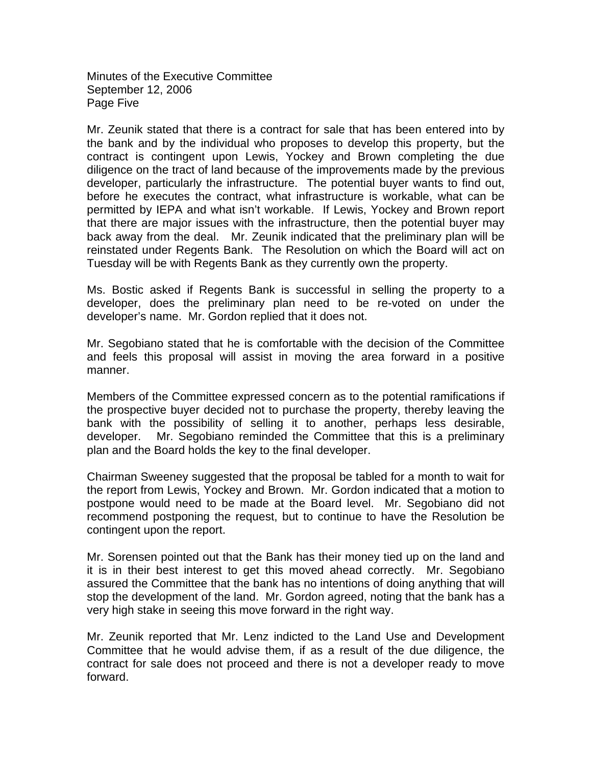Minutes of the Executive Committee September 12, 2006 Page Five

Mr. Zeunik stated that there is a contract for sale that has been entered into by the bank and by the individual who proposes to develop this property, but the contract is contingent upon Lewis, Yockey and Brown completing the due diligence on the tract of land because of the improvements made by the previous developer, particularly the infrastructure. The potential buyer wants to find out, before he executes the contract, what infrastructure is workable, what can be permitted by IEPA and what isn't workable. If Lewis, Yockey and Brown report that there are major issues with the infrastructure, then the potential buyer may back away from the deal. Mr. Zeunik indicated that the preliminary plan will be reinstated under Regents Bank. The Resolution on which the Board will act on Tuesday will be with Regents Bank as they currently own the property.

Ms. Bostic asked if Regents Bank is successful in selling the property to a developer, does the preliminary plan need to be re-voted on under the developer's name. Mr. Gordon replied that it does not.

Mr. Segobiano stated that he is comfortable with the decision of the Committee and feels this proposal will assist in moving the area forward in a positive manner.

Members of the Committee expressed concern as to the potential ramifications if the prospective buyer decided not to purchase the property, thereby leaving the bank with the possibility of selling it to another, perhaps less desirable, developer. Mr. Segobiano reminded the Committee that this is a preliminary plan and the Board holds the key to the final developer.

Chairman Sweeney suggested that the proposal be tabled for a month to wait for the report from Lewis, Yockey and Brown. Mr. Gordon indicated that a motion to postpone would need to be made at the Board level. Mr. Segobiano did not recommend postponing the request, but to continue to have the Resolution be contingent upon the report.

Mr. Sorensen pointed out that the Bank has their money tied up on the land and it is in their best interest to get this moved ahead correctly. Mr. Segobiano assured the Committee that the bank has no intentions of doing anything that will stop the development of the land. Mr. Gordon agreed, noting that the bank has a very high stake in seeing this move forward in the right way.

Mr. Zeunik reported that Mr. Lenz indicted to the Land Use and Development Committee that he would advise them, if as a result of the due diligence, the contract for sale does not proceed and there is not a developer ready to move forward.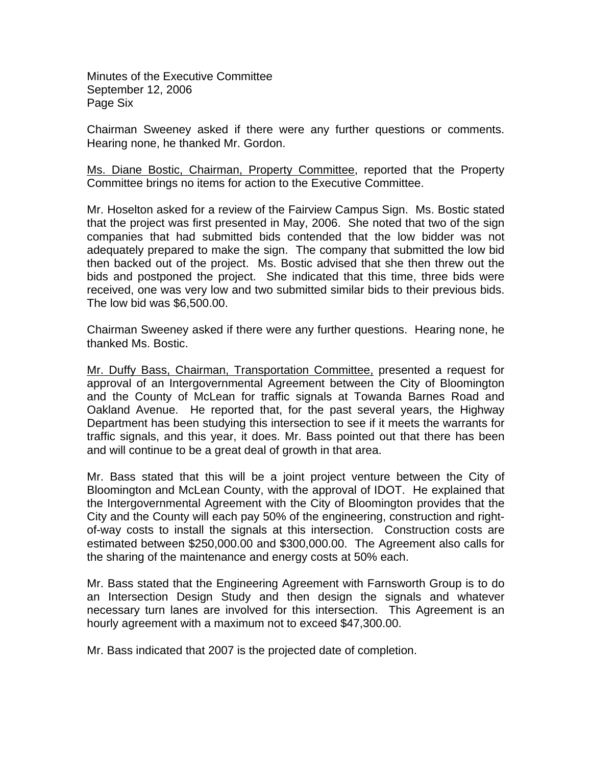Minutes of the Executive Committee September 12, 2006 Page Six

Chairman Sweeney asked if there were any further questions or comments. Hearing none, he thanked Mr. Gordon.

Ms. Diane Bostic, Chairman, Property Committee, reported that the Property Committee brings no items for action to the Executive Committee.

Mr. Hoselton asked for a review of the Fairview Campus Sign. Ms. Bostic stated that the project was first presented in May, 2006. She noted that two of the sign companies that had submitted bids contended that the low bidder was not adequately prepared to make the sign. The company that submitted the low bid then backed out of the project. Ms. Bostic advised that she then threw out the bids and postponed the project. She indicated that this time, three bids were received, one was very low and two submitted similar bids to their previous bids. The low bid was \$6,500.00.

Chairman Sweeney asked if there were any further questions. Hearing none, he thanked Ms. Bostic.

Mr. Duffy Bass, Chairman, Transportation Committee, presented a request for approval of an Intergovernmental Agreement between the City of Bloomington and the County of McLean for traffic signals at Towanda Barnes Road and Oakland Avenue. He reported that, for the past several years, the Highway Department has been studying this intersection to see if it meets the warrants for traffic signals, and this year, it does. Mr. Bass pointed out that there has been and will continue to be a great deal of growth in that area.

Mr. Bass stated that this will be a joint project venture between the City of Bloomington and McLean County, with the approval of IDOT. He explained that the Intergovernmental Agreement with the City of Bloomington provides that the City and the County will each pay 50% of the engineering, construction and rightof-way costs to install the signals at this intersection. Construction costs are estimated between \$250,000.00 and \$300,000.00. The Agreement also calls for the sharing of the maintenance and energy costs at 50% each.

Mr. Bass stated that the Engineering Agreement with Farnsworth Group is to do an Intersection Design Study and then design the signals and whatever necessary turn lanes are involved for this intersection. This Agreement is an hourly agreement with a maximum not to exceed \$47,300.00.

Mr. Bass indicated that 2007 is the projected date of completion.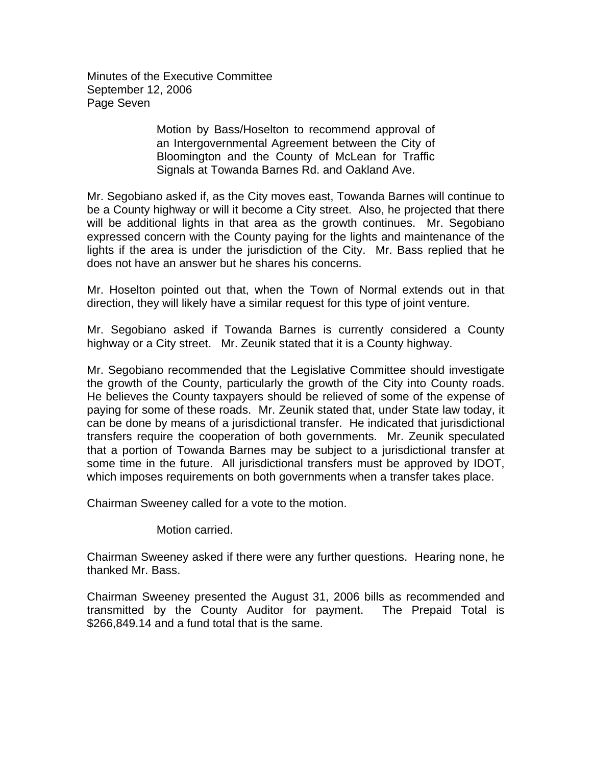Minutes of the Executive Committee September 12, 2006 Page Seven

> Motion by Bass/Hoselton to recommend approval of an Intergovernmental Agreement between the City of Bloomington and the County of McLean for Traffic Signals at Towanda Barnes Rd. and Oakland Ave.

Mr. Segobiano asked if, as the City moves east, Towanda Barnes will continue to be a County highway or will it become a City street. Also, he projected that there will be additional lights in that area as the growth continues. Mr. Segobiano expressed concern with the County paying for the lights and maintenance of the lights if the area is under the jurisdiction of the City. Mr. Bass replied that he does not have an answer but he shares his concerns.

Mr. Hoselton pointed out that, when the Town of Normal extends out in that direction, they will likely have a similar request for this type of joint venture.

Mr. Segobiano asked if Towanda Barnes is currently considered a County highway or a City street. Mr. Zeunik stated that it is a County highway.

Mr. Segobiano recommended that the Legislative Committee should investigate the growth of the County, particularly the growth of the City into County roads. He believes the County taxpayers should be relieved of some of the expense of paying for some of these roads. Mr. Zeunik stated that, under State law today, it can be done by means of a jurisdictional transfer. He indicated that jurisdictional transfers require the cooperation of both governments. Mr. Zeunik speculated that a portion of Towanda Barnes may be subject to a jurisdictional transfer at some time in the future. All jurisdictional transfers must be approved by IDOT, which imposes requirements on both governments when a transfer takes place.

Chairman Sweeney called for a vote to the motion.

Motion carried.

Chairman Sweeney asked if there were any further questions. Hearing none, he thanked Mr. Bass.

Chairman Sweeney presented the August 31, 2006 bills as recommended and transmitted by the County Auditor for payment. The Prepaid Total is \$266,849.14 and a fund total that is the same.